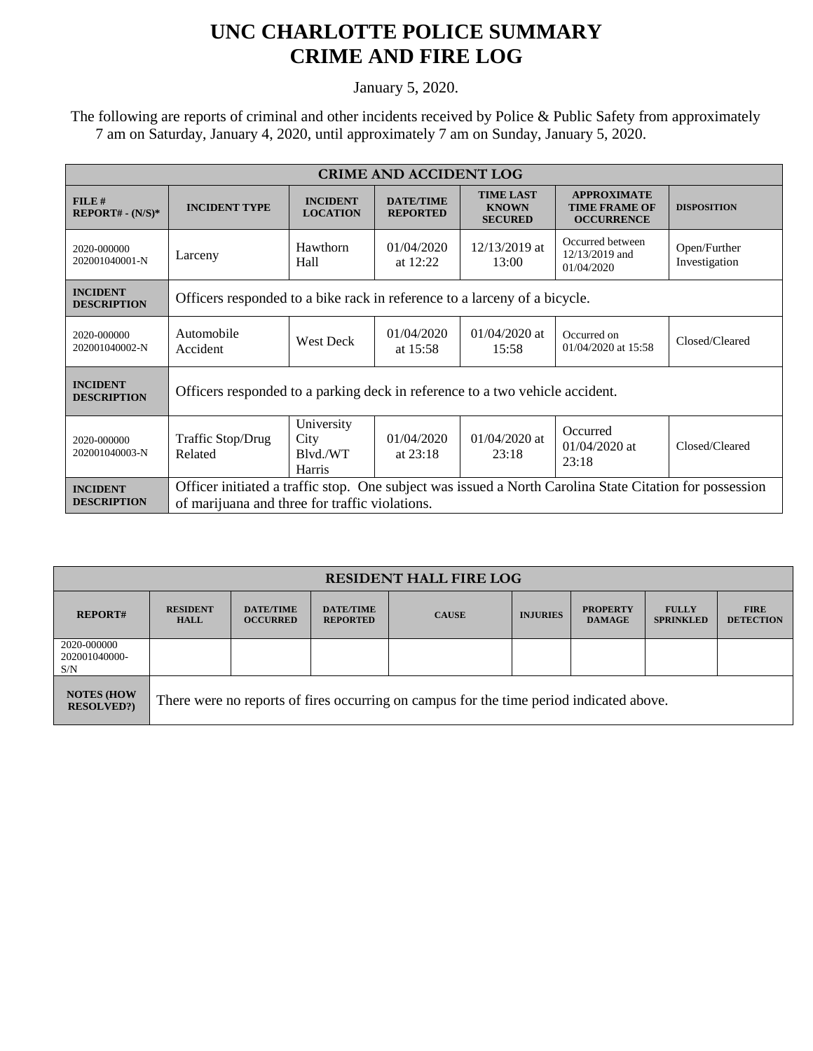## **UNC CHARLOTTE POLICE SUMMARY CRIME AND FIRE LOG**

January 5, 2020.

 The following are reports of criminal and other incidents received by Police & Public Safety from approximately 7 am on Saturday, January 4, 2020, until approximately 7 am on Sunday, January 5, 2020.

| <b>CRIME AND ACCIDENT LOG</b>         |                                                                                                                                                           |                                          |                                     |                                                    |                                                                 |                               |  |  |
|---------------------------------------|-----------------------------------------------------------------------------------------------------------------------------------------------------------|------------------------------------------|-------------------------------------|----------------------------------------------------|-----------------------------------------------------------------|-------------------------------|--|--|
| FILE#<br>$REPORT# - (N/S)*$           | <b>INCIDENT TYPE</b>                                                                                                                                      | <b>INCIDENT</b><br><b>LOCATION</b>       | <b>DATE/TIME</b><br><b>REPORTED</b> | <b>TIME LAST</b><br><b>KNOWN</b><br><b>SECURED</b> | <b>APPROXIMATE</b><br><b>TIME FRAME OF</b><br><b>OCCURRENCE</b> | <b>DISPOSITION</b>            |  |  |
| 2020-000000<br>202001040001-N         | Larceny                                                                                                                                                   | Hawthorn<br>Hall                         | 01/04/2020<br>at $12:22$            | 12/13/2019 at<br>13:00                             | Occurred between<br>12/13/2019 and<br>01/04/2020                | Open/Further<br>Investigation |  |  |
| <b>INCIDENT</b><br><b>DESCRIPTION</b> | Officers responded to a bike rack in reference to a larceny of a bicycle.                                                                                 |                                          |                                     |                                                    |                                                                 |                               |  |  |
| 2020-000000<br>202001040002-N         | Automobile<br>Accident                                                                                                                                    | <b>West Deck</b>                         | 01/04/2020<br>at $15:58$            | $01/04/2020$ at<br>15:58                           | Occurred on<br>01/04/2020 at 15:58                              | Closed/Cleared                |  |  |
| <b>INCIDENT</b><br><b>DESCRIPTION</b> | Officers responded to a parking deck in reference to a two vehicle accident.                                                                              |                                          |                                     |                                                    |                                                                 |                               |  |  |
| 2020-000000<br>202001040003-N         | Traffic Stop/Drug<br>Related                                                                                                                              | University<br>City<br>Blvd./WT<br>Harris | 01/04/2020<br>at $23:18$            | $01/04/2020$ at<br>23:18                           | Occurred<br>$01/04/2020$ at<br>23:18                            | Closed/Cleared                |  |  |
| <b>INCIDENT</b><br><b>DESCRIPTION</b> | Officer initiated a traffic stop. One subject was issued a North Carolina State Citation for possession<br>of marijuana and three for traffic violations. |                                          |                                     |                                                    |                                                                 |                               |  |  |

| <b>RESIDENT HALL FIRE LOG</b>           |                                                                                         |                                     |                                     |              |                 |                                  |                                  |                                 |
|-----------------------------------------|-----------------------------------------------------------------------------------------|-------------------------------------|-------------------------------------|--------------|-----------------|----------------------------------|----------------------------------|---------------------------------|
| <b>REPORT#</b>                          | <b>RESIDENT</b><br><b>HALL</b>                                                          | <b>DATE/TIME</b><br><b>OCCURRED</b> | <b>DATE/TIME</b><br><b>REPORTED</b> | <b>CAUSE</b> | <b>INJURIES</b> | <b>PROPERTY</b><br><b>DAMAGE</b> | <b>FULLY</b><br><b>SPRINKLED</b> | <b>FIRE</b><br><b>DETECTION</b> |
| 2020-000000<br>202001040000-<br>S/N     |                                                                                         |                                     |                                     |              |                 |                                  |                                  |                                 |
| <b>NOTES (HOW)</b><br><b>RESOLVED?)</b> | There were no reports of fires occurring on campus for the time period indicated above. |                                     |                                     |              |                 |                                  |                                  |                                 |